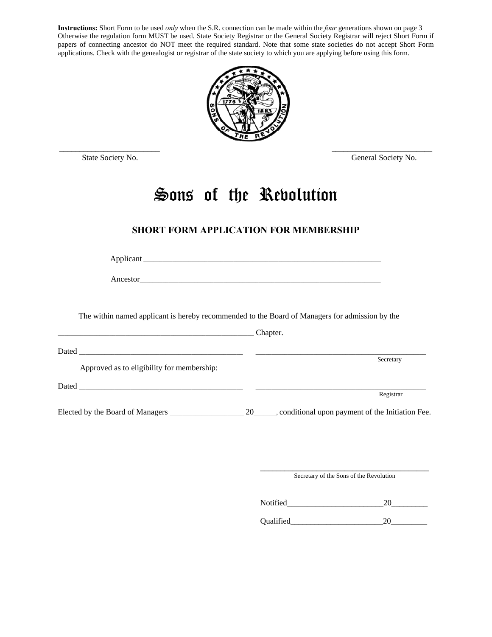**Instructions:** Short Form to be used *only* when the S.R. connection can be made within the *four* generations shown on page 3 Otherwise the regulation form MUST be used. State Society Registrar or the General Society Registrar will reject Short Form if papers of connecting ancestor do NOT meet the required standard. Note that some state societies do not accept Short Form applications. Check with the genealogist or registrar of the state society to which you are applying before using this form.



State Society No. General Society No.

# **Sons of the Revolution**

# **SHORT FORM APPLICATION FOR MEMBERSHIP**

Applicant \_\_\_\_\_\_\_\_\_\_\_\_\_\_\_\_\_\_\_\_\_\_\_\_\_\_\_\_\_\_\_\_\_\_\_\_\_\_\_\_\_\_\_\_\_\_\_\_\_\_\_\_\_\_\_\_\_\_\_\_\_\_\_\_\_\_\_\_\_\_\_\_\_\_

Ancestor\_\_\_\_\_\_\_\_\_\_\_\_\_\_\_\_\_\_\_\_\_\_\_\_\_\_\_\_\_\_\_\_\_\_\_\_\_\_\_\_\_\_\_\_\_\_\_\_\_\_\_\_\_\_\_\_\_\_\_\_\_\_\_\_\_\_\_\_\_\_\_\_\_\_\_

The within named applicant is hereby recommended to the Board of Managers for admission by the

|                                            | Chapter.                                                   |
|--------------------------------------------|------------------------------------------------------------|
| Approved as to eligibility for membership: | Secretary                                                  |
|                                            | Registrar                                                  |
| Elected by the Board of Managers           | 20_______, conditional upon payment of the Initiation Fee. |

\_\_\_\_\_\_\_\_\_\_\_\_\_\_\_\_\_\_\_\_\_\_\_\_\_\_\_\_\_\_\_\_\_\_\_\_\_\_\_\_\_\_ Secretary of the Sons of the Revolution

Notified 20

Qualified\_\_\_\_\_\_\_\_\_\_\_\_\_\_\_\_\_\_\_\_\_\_\_20\_\_\_\_\_\_\_\_\_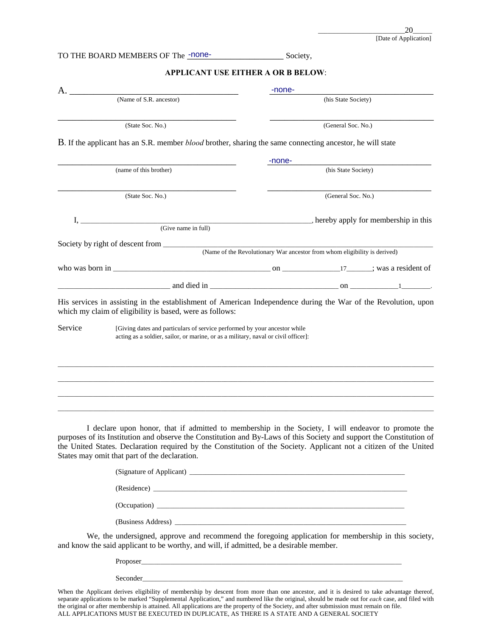### TO THE BOARD MEMBERS OF The <u>-none-</u> Society,

## **APPLICANT USE EITHER A OR B BELOW**:

| A.      |                                                                                                                                                                                                                                                                                                                                                                                                   | -none-                                                                    |                     |                                     |
|---------|---------------------------------------------------------------------------------------------------------------------------------------------------------------------------------------------------------------------------------------------------------------------------------------------------------------------------------------------------------------------------------------------------|---------------------------------------------------------------------------|---------------------|-------------------------------------|
|         | (Name of S.R. ancestor)                                                                                                                                                                                                                                                                                                                                                                           |                                                                           | (his State Society) |                                     |
|         | (State Soc. No.)                                                                                                                                                                                                                                                                                                                                                                                  |                                                                           | (General Soc. No.)  |                                     |
|         | <b>B</b> . If the applicant has an S.R. member <i>blood</i> brother, sharing the same connecting ancestor, he will state                                                                                                                                                                                                                                                                          |                                                                           |                     |                                     |
|         |                                                                                                                                                                                                                                                                                                                                                                                                   | -none-                                                                    |                     |                                     |
|         | (name of this brother)                                                                                                                                                                                                                                                                                                                                                                            |                                                                           | (his State Society) |                                     |
|         | (State Soc. No.)                                                                                                                                                                                                                                                                                                                                                                                  |                                                                           | (General Soc. No.)  |                                     |
| I.      |                                                                                                                                                                                                                                                                                                                                                                                                   |                                                                           |                     | hereby apply for membership in this |
|         | (Give name in full)                                                                                                                                                                                                                                                                                                                                                                               |                                                                           |                     |                                     |
|         | Society by right of descent from                                                                                                                                                                                                                                                                                                                                                                  |                                                                           |                     |                                     |
|         |                                                                                                                                                                                                                                                                                                                                                                                                   | (Name of the Revolutionary War ancestor from whom eligibility is derived) |                     |                                     |
|         | who was born in $\frac{17}{2}$ ; was a resident of                                                                                                                                                                                                                                                                                                                                                |                                                                           |                     |                                     |
|         |                                                                                                                                                                                                                                                                                                                                                                                                   |                                                                           |                     |                                     |
|         | His services in assisting in the establishment of American Independence during the War of the Revolution, upon<br>which my claim of eligibility is based, were as follows:                                                                                                                                                                                                                        |                                                                           |                     |                                     |
| Service | [Giving dates and particulars of service performed by your ancestor while<br>acting as a soldier, sailor, or marine, or as a military, naval or civil officer]:                                                                                                                                                                                                                                   |                                                                           |                     |                                     |
|         |                                                                                                                                                                                                                                                                                                                                                                                                   |                                                                           |                     |                                     |
|         | I declare upon honor, that if admitted to membership in the Society, I will endeavor to promote the<br>purposes of its Institution and observe the Constitution and By-Laws of this Society and support the Constitution of<br>the United States. Declaration required by the Constitution of the Society. Applicant not a citizen of the United<br>States may omit that part of the declaration. |                                                                           |                     |                                     |
|         |                                                                                                                                                                                                                                                                                                                                                                                                   |                                                                           |                     |                                     |
|         | (Residence)                                                                                                                                                                                                                                                                                                                                                                                       |                                                                           |                     |                                     |

(Occupation) \_\_\_\_\_\_\_\_\_\_\_\_\_\_\_\_\_\_\_\_\_\_\_\_\_\_\_\_\_\_\_\_\_\_\_\_\_\_\_\_\_\_\_\_\_\_\_\_\_\_\_\_\_\_\_\_\_\_\_\_\_\_\_\_\_\_\_\_\_\_\_\_\_\_\_\_\_

(Business Address) \_\_\_\_\_\_\_\_\_\_\_\_\_\_\_\_\_\_\_\_\_\_\_\_\_\_\_\_\_\_\_\_\_\_\_\_\_\_\_\_\_\_\_\_\_\_\_\_\_\_\_\_\_\_\_\_\_\_\_\_\_\_\_\_\_\_\_\_\_\_\_\_

We, the undersigned, approve and recommend the foregoing application for membership in this society, and know the said applicant to be worthy, and will, if admitted, be a desirable member.

> Proposer\_\_\_\_\_\_\_\_\_\_\_\_\_\_\_\_\_\_\_\_\_\_\_\_\_\_\_\_\_\_\_\_\_\_\_\_\_\_\_\_\_\_\_\_\_\_\_\_\_\_\_\_\_\_\_\_\_\_\_\_\_\_\_\_\_\_\_\_\_\_\_\_\_\_\_\_\_\_\_\_\_ Seconder\_\_\_\_\_\_\_\_\_\_\_\_\_\_\_\_\_\_\_\_\_\_\_\_\_\_\_\_\_\_\_\_\_\_\_\_\_\_\_\_\_\_\_\_\_\_\_\_\_\_\_\_\_\_\_\_\_\_\_\_\_\_\_\_\_\_\_\_\_\_\_\_\_\_\_\_\_\_\_\_\_

When the Applicant derives eligibility of membership by descent from more than one ancestor, and it is desired to take advantage thereof, separate applications to be marked "Supplemental Application," and numbered like the original, should be made out for *each* case, and filed with the original or after membership is attained. All applications are the property of the Society, and after submission must remain on file. ALL APPLICATIONS MUST BE EXECUTED IN DUPLICATE, AS THERE IS A STATE AND A GENERAL SOCIETY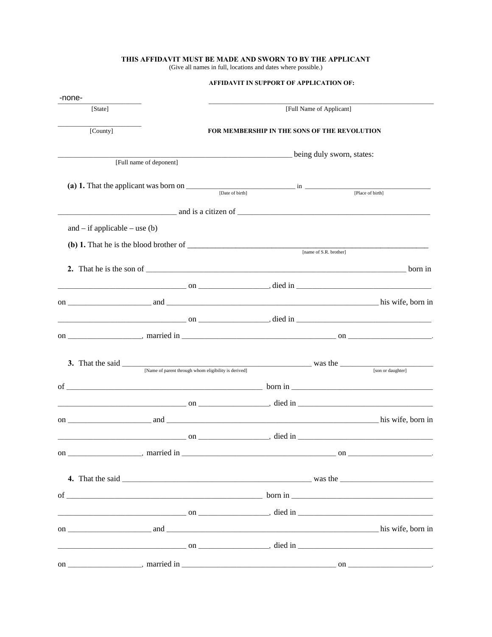# THIS AFFIDAVIT MUST BE MADE AND SWORN TO BY THE APPLICANT (Give all names in full, locations and dates where possible.)

| -none-                                                          |                                                                                                                                                                                                                                                                                        |  |
|-----------------------------------------------------------------|----------------------------------------------------------------------------------------------------------------------------------------------------------------------------------------------------------------------------------------------------------------------------------------|--|
| [State]                                                         | [Full Name of Applicant]                                                                                                                                                                                                                                                               |  |
| [County]                                                        | <b>FOR MEMBERSHIP IN THE SONS OF THE REVOLUTION</b>                                                                                                                                                                                                                                    |  |
|                                                                 | being duly sworn, states:                                                                                                                                                                                                                                                              |  |
| [Full name of deponent]                                         |                                                                                                                                                                                                                                                                                        |  |
|                                                                 | (a) 1. That the applicant was born on $\frac{1}{\left[\text{Date of birth}\right]}$ in $\frac{1}{\left[\text{Place of birth}\right]}$                                                                                                                                                  |  |
|                                                                 | $\frac{1}{2}$ and is a citizen of $\frac{1}{2}$ and is a citizen of $\frac{1}{2}$ and $\frac{1}{2}$ and $\frac{1}{2}$ and $\frac{1}{2}$ and $\frac{1}{2}$ and $\frac{1}{2}$ and $\frac{1}{2}$ and $\frac{1}{2}$ and $\frac{1}{2}$ and $\frac{1}{2}$ and $\frac{1}{2}$ and $\frac{1}{2$ |  |
| and $-$ if applicable $-$ use (b)                               |                                                                                                                                                                                                                                                                                        |  |
| (b) 1. That he is the blood brother of $\overline{\phantom{a}}$ | [name of S.R. brother]                                                                                                                                                                                                                                                                 |  |
|                                                                 |                                                                                                                                                                                                                                                                                        |  |
|                                                                 |                                                                                                                                                                                                                                                                                        |  |
|                                                                 |                                                                                                                                                                                                                                                                                        |  |
|                                                                 |                                                                                                                                                                                                                                                                                        |  |
|                                                                 |                                                                                                                                                                                                                                                                                        |  |
|                                                                 |                                                                                                                                                                                                                                                                                        |  |
|                                                                 |                                                                                                                                                                                                                                                                                        |  |
|                                                                 | 3. That the said <u>Same of parent through whom eligibility is derived</u> was the <u>same and the said son or daughter</u>                                                                                                                                                            |  |
|                                                                 | of $\overline{\phantom{a}}$ born in $\overline{\phantom{a}}$                                                                                                                                                                                                                           |  |
|                                                                 |                                                                                                                                                                                                                                                                                        |  |
|                                                                 |                                                                                                                                                                                                                                                                                        |  |
|                                                                 |                                                                                                                                                                                                                                                                                        |  |
|                                                                 |                                                                                                                                                                                                                                                                                        |  |
|                                                                 |                                                                                                                                                                                                                                                                                        |  |
|                                                                 |                                                                                                                                                                                                                                                                                        |  |
|                                                                 | of $\overline{\phantom{a}}$ born in $\overline{\phantom{a}}$                                                                                                                                                                                                                           |  |
|                                                                 |                                                                                                                                                                                                                                                                                        |  |
|                                                                 |                                                                                                                                                                                                                                                                                        |  |
|                                                                 |                                                                                                                                                                                                                                                                                        |  |
|                                                                 |                                                                                                                                                                                                                                                                                        |  |

### AFFIDAVIT IN SUPPORT OF APPLICATION OF: